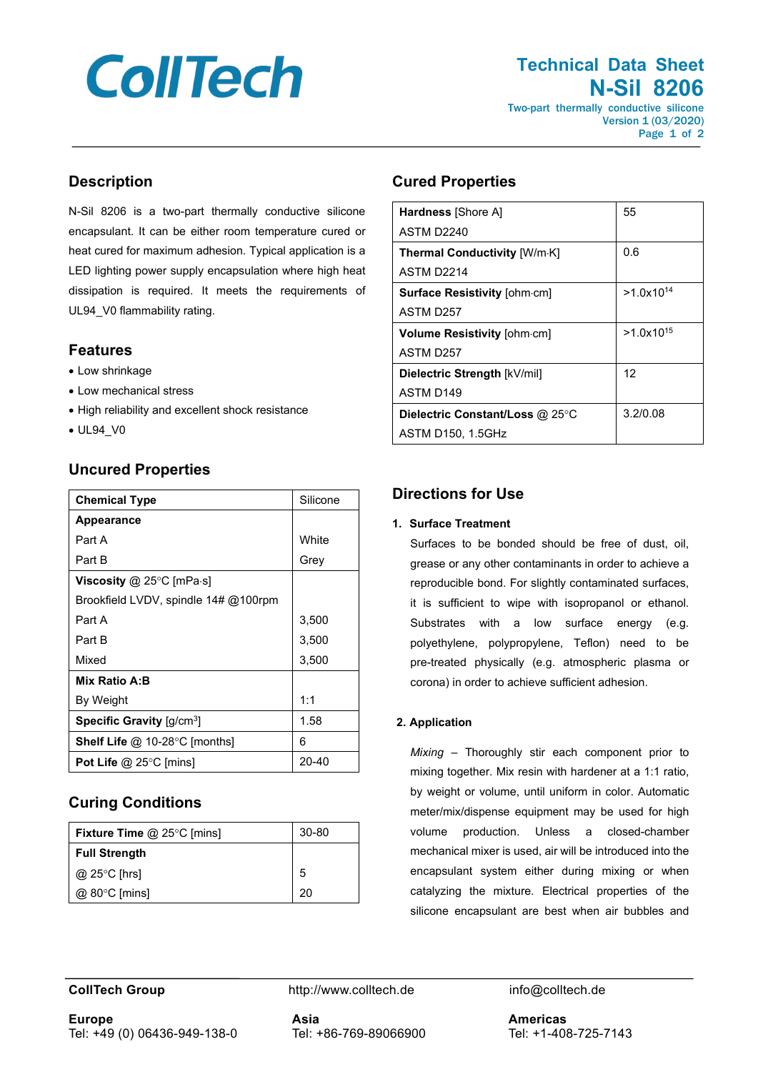# **CollTech**

# **Technical Data Sheet N-Sil 8206** Two-part thermally conductive silicone

Version 1 (03/2020) Page 1 of 2

# **Description**

N-Sil 8206 is a two-part thermally conductive silicone encapsulant. It can be either room temperature cured or heat cured for maximum adhesion. Typical application is a LED lighting power supply encapsulation where high heat dissipation is required. It meets the requirements of UL94\_V0 flammability rating.

# **Features**

- Low shrinkage
- Low mechanical stress
- High reliability and excellent shock resistance
- UL94\_V0

# **Uncured Properties**

| <b>Chemical Type</b>                                  | Silicone     |
|-------------------------------------------------------|--------------|
| <b>Appearance</b>                                     |              |
| Part A                                                | <b>White</b> |
| Part B                                                | Grey         |
| <b>Viscosity @ 25°C [mPa·s]</b>                       |              |
| Brookfield LVDV, spindle 14# @100rpm                  |              |
| Part A                                                | 3,500        |
| Part B                                                | 3,500        |
| Mixed                                                 | 3,500        |
| Mix Ratio A:B                                         |              |
| By Weight                                             | 1:1          |
| <b>Specific Gravity</b> $\left[\frac{q}{cm^3}\right]$ | 1.58         |
| <b>Shelf Life @ 10-28 °C [months]</b>                 | 6            |
| Pot Life $@$ 25 $°C$ [mins]                           | 20-40        |

# **Curing Conditions**

| <b>Fixture Time @ 25°C [mins]</b> | $30 - 80$ |
|-----------------------------------|-----------|
| <b>Full Strength</b>              |           |
| @ 25 $\degree$ C [hrs]            | 5         |
| $@$ 80 $°C$ [mins]                | 20        |

# **Cured Properties**

| <b>Hardness</b> [Shore A]           | 55             |
|-------------------------------------|----------------|
| ASTM D <sub>2240</sub>              |                |
| <b>Thermal Conductivity [W/m·K]</b> | 0.6            |
| ASTM D <sub>2214</sub>              |                |
| <b>Surface Resistivity [ohm.cm]</b> | $>1.0x10^{14}$ |
| ASTM D <sub>257</sub>               |                |
| Volume Resistivity [ohm-cm]         | $>1.0x10^{15}$ |
| ASTM D257                           |                |
| Dielectric Strength [kV/mil]        | 12             |
| ASTM D149                           |                |
| Dielectric Constant/Loss @ 25°C     | 3.2/0.08       |
| <b>ASTM D150, 1.5GHz</b>            |                |

# **Directions for Use**

### **1. Surface Treatment**

Surfaces to be bonded should be free of dust, oil, grease or any other contaminants in order to achieve a reproducible bond. For slightly contaminated surfaces, it is sufficient to wipe with isopropanol or ethanol. Substrates with a low surface energy (e.g. polyethylene, polypropylene, Teflon) need to be pre-treated physically (e.g. atmospheric plasma or corona) in order to achieve sufficient adhesion.

### **2. Application**

*Mixing* – Thoroughly stir each component prior to mixing together. Mix resin with hardener at a 1:1 ratio, by weight or volume, until uniform in color. Automatic meter/mix/dispense equipment may be used for high volume production. Unless a closed-chamber mechanical mixer is used, air will be introduced into the encapsulant system either during mixing or when catalyzing the mixture. Electrical properties of the silicone encapsulant are best when air bubbles and

**CollTech Group http://www.colltech.de** info@colltech.de

**Europe** Tel: +49 (0) 06436-949-138-0 **Asia** Tel: +86-769-89066900 **Americas** Tel: +1-408-725-7143